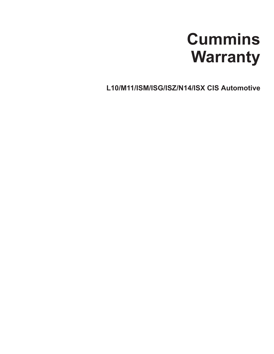# **Cummins Warranty**

**L10/M11/ISM/ISG/ISZ/N14/ISX CIS Automotive**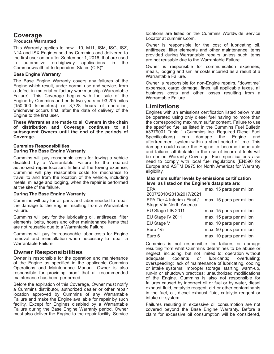### **Coverage Products Warranted**

This Warranty applies to new L10, M11, ISM, ISG, ISZ, N14 and ISX Engines sold by Cummins and delivered to the first user on or after September 1, 2016, that are used in automotive on-highway applications in the Commonwealth of Independent States (CIS)\*.

#### **Base Engine Warranty**

The Base Engine Warranty covers any failures of the Engine which result, under normal use and service, from a defect in material or factory workmanship (Warrantable Failure). This Coverage begins with the sale of the Engine by Cummins and ends two years or 93,205 miles (150,000 kilometers) or 3,728 hours of operation, whichever occurs first, after the date of delivery of the Engine to the first user.

**These Warranties are made to all Owners in the chain of distribution and Coverage continues to all subsequent Owners until the end of the periods of Coverage.**

#### **Cummins Responsibilities During The Base Engine Warranty**

Cummins will pay reasonable costs for towing a vehicle disabled by a Warrantable Failure to the nearest authorized repair location. In lieu of the towing expense, Cummins will pay reasonable costs for mechanics to travel to and from the location of the vehicle, including meals, mileage and lodging, when the repair is performed at the site of the failure.

#### **During The Base Engine Warranty**

Cummins will pay for all parts and labor needed to repair the damage to the Engine resulting from a Warrantable Failure.

Cummins will pay for the lubricating oil, antifreeze, filter elements, belts, hoses and other maintenance items that are not reusable due to a Warrantable Failure.

Cummins will pay for reasonable labor costs for Engine removal and reinstallation when necessary to repair a Warrantable Failure.

## **Owner Responsibilities**

Owner is responsible for the operation and maintenance of the Engine as specified in the applicable Cummins Operations and Maintenance Manual. Owner is also responsible for providing proof that all recommended maintenance has been performed.

Before the expiration of this Coverage, Owner must notify a Cummins distributor, authorized dealer or other repair location approved by Cummins of any Warrantable Failure and make the Engine available for repair by such facility. Except for Engines disabled by a Warrantable Failure during the Base Engine Warranty period, Owner must also deliver the Engine to the repair facility. Service locations are listed on the Cummins Worldwide Service Locator at cummins.com.

Owner is responsible for the cost of lubricating oil, antifreeze, filter elements and other maintenance items provided during Warrantable repairs unless such items are not reusable due to the Warrantable Failure.

Owner is responsible for communication expenses, meals, lodging and similar costs incurred as a result of a Warrantable Failure.

Owner is responsible for non-Engine repairs, "downtime" expenses, cargo damage, fines, all applicable taxes, all business costs and other losses resulting from a Warrantable Failure.

## **Limitations**

Engines with an emissions certification listed below must be operated using only diesel fuel having no more than the corresponding maximum sulfur content. Failure to use the specified fuel as listed in the Cummins Fuel Bulletin #3379001 Table 1 (Cummins Inc. Required Diesel Fuel Specifications) can damage the Engine and aftertreatment system within a short period of time. This damage could cause the Engine to become inoperable and failures attributable to the use of incorrect fuels will be denied Warranty Coverage. Fuel specifications also need to comply with local fuel regulations (EN590 for Europe and ASTM D975 for North America) for Warranty eligibility.

## **Maximum sulfur levels by emissions certification level as listed on the Engine's dataplate are:**

| max. 15 parts per million |
|---------------------------|
|                           |
| max. 15 parts per million |
| max. 15 parts per million |
| max. 15 parts per million |
| max. 10 parts per million |
| max. 50 parts per million |
| max. 10 parts per million |
|                           |

Cummins is not responsible for failures or damage resulting from what Cummins determines to be abuse or neglect, including, but not limited to: operation without adequate coolants or lubricants; overfueling; overspeeding; lack of maintenance of lubricating, cooling or intake systems; improper storage, starting, warm-up, run-in or shutdown practices; unauthorized modifications of the Engine. Cummins is also not responsible for failures caused by incorrect oil or fuel or by water, diesel exhaust fluid, catalytic reagent, dirt or other contaminants in the fuel, oil, diesel exhaust fluid, catalytic reagent or intake air system.

Failures resulting in excessive oil consumption are not covered beyond the Base Engine Warranty. Before a claim for excessive oil consumption will be considered,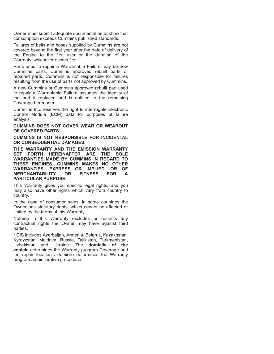Owner must submit adequate documentation to show that consumption exceeds Cummins published standards.

Failures of belts and hoses supplied by Cummins are not covered beyond the first year after the date of delivery of the Engine to the first user or the duration of the Warranty, whichever occurs first.

Parts used to repair a Warrantable Failure may be new Cummins parts, Cummins approved rebuilt parts or repaired parts. Cummins is not responsible for failures resulting from the use of parts not approved by Cummins.

A new Cummins or Cummins approved rebuilt part used to repair a Warrantable Failure assumes the identity of the part it replaced and is entitled to the remaining Coverage hereunder.

Cummins Inc. reserves the right to interrogate Electronic Control Module (ECM) data for purposes of failure analysis.

**CUMMINS DOES NOT COVER WEAR OR WEAROUT OF COVERED PARTS.**

**CUMMINS IS NOT RESPONSIBLE FOR INCIDENTAL OR CONSEQUENTIAL DAMAGES.**

**THIS WARRANTY AND THE EMISSION WARRANTY SET FORTH HEREINAFTER ARE THE SOLE WARRANTIES MADE BY CUMMINS IN REGARD TO THESE ENGINES. CUMMINS MAKES NO OTHER WARRANTIES, EXPRESS OR IMPLIED, OR OF MERCHANTABILITY OR FITNESS FOR A PARTICULAR PURPOSE.**

This Warranty gives you specific legal rights, and you may also have other rights which vary from country to country.

In the case of consumer sales, in some countries the Owner has statutory rights, which cannot be affected or limited by the terms of this Warranty.

Nothing in this Warranty excludes or restricts any contractual rights the Owner may have against third parties.

\* CIS includes Azerbaijan, Armenia, Belarus, Kazakhstan, Kyrgyzstan, Moldova, Russia, Tajikistan, Turkmenistan, Uzbekistan and Ukraine. The **domicile of the vehicle** determines the Warranty program Coverage and the repair location's domicile determines the Warranty program administrative procedures.